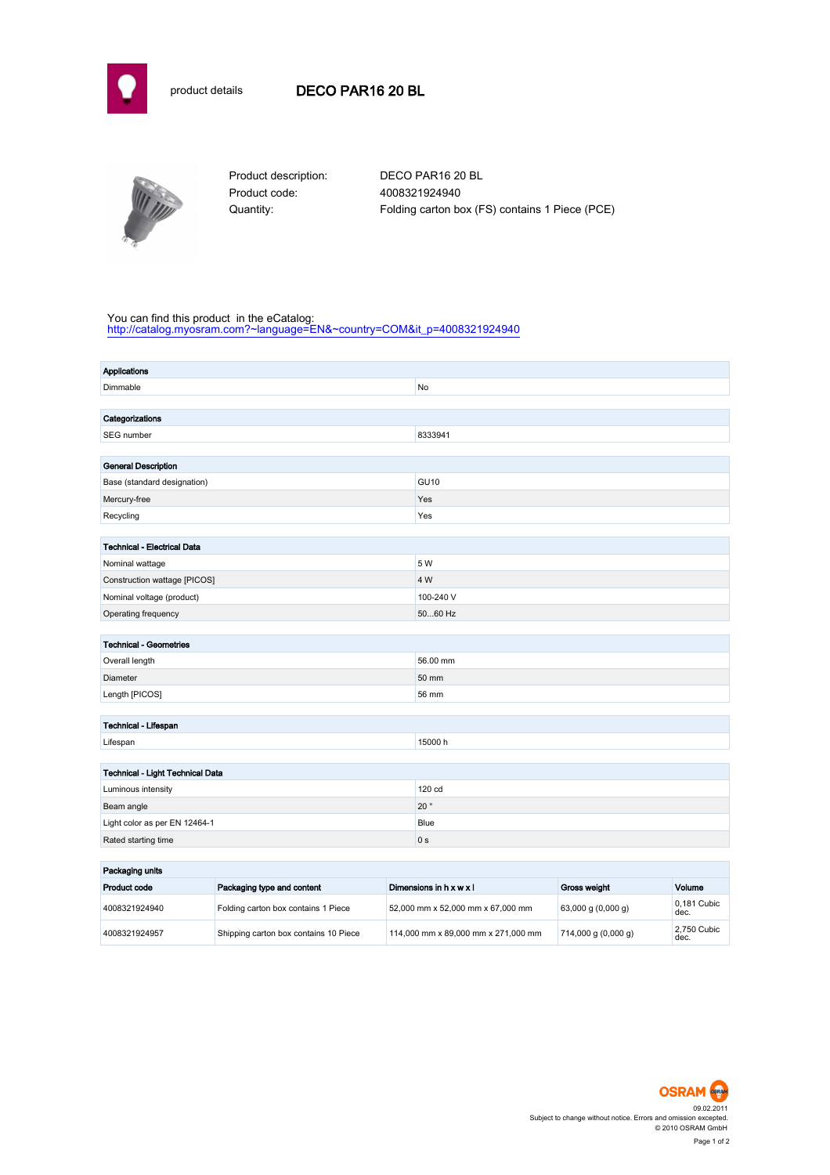

## product details DECO PAR16 20 BL



Product code: 4008321924940

Product description: DECO PAR16 20 BL Quantity: Folding carton box (FS) contains 1 Piece (PCE)

## You can find this product in the eCatalog:

[http://catalog.myosram.com?~language=EN&~country=COM&it\\_p=4008321924940](http://catalog.myosram.com?~language=EN&~country=COM&it_p=4008321924940)

| <b>Applications</b>                        |                                     |                                   |                |                    |                     |
|--------------------------------------------|-------------------------------------|-----------------------------------|----------------|--------------------|---------------------|
| Dimmable                                   |                                     |                                   | No             |                    |                     |
|                                            |                                     |                                   |                |                    |                     |
| Categorizations                            |                                     |                                   |                |                    |                     |
| SEG number                                 |                                     |                                   | 8333941        |                    |                     |
|                                            |                                     |                                   |                |                    |                     |
| <b>General Description</b>                 |                                     |                                   |                |                    |                     |
| Base (standard designation)                |                                     |                                   | <b>GU10</b>    |                    |                     |
| Mercury-free                               |                                     |                                   | Yes            |                    |                     |
| Recycling                                  |                                     | Yes                               |                |                    |                     |
| <b>Technical - Electrical Data</b>         |                                     |                                   |                |                    |                     |
| Nominal wattage                            |                                     |                                   | 5 W            |                    |                     |
| Construction wattage [PICOS]               |                                     |                                   | 4 W            |                    |                     |
| Nominal voltage (product)                  |                                     |                                   | 100-240 V      |                    |                     |
| Operating frequency                        |                                     |                                   | 5060 Hz        |                    |                     |
|                                            |                                     |                                   |                |                    |                     |
| <b>Technical - Geometries</b>              |                                     |                                   |                |                    |                     |
| Overall length                             |                                     |                                   | 56.00 mm       |                    |                     |
| Diameter                                   |                                     |                                   | 50 mm          |                    |                     |
| Length [PICOS]                             |                                     | 56 mm                             |                |                    |                     |
|                                            |                                     |                                   |                |                    |                     |
| Technical - Lifespan                       |                                     |                                   |                |                    |                     |
| Lifespan                                   |                                     | 15000h                            |                |                    |                     |
|                                            |                                     |                                   |                |                    |                     |
| Technical - Light Technical Data           |                                     |                                   |                |                    |                     |
| Luminous intensity                         |                                     |                                   | 120 cd         |                    |                     |
| Beam angle                                 |                                     |                                   | $20^{\circ}$   |                    |                     |
| Light color as per EN 12464-1              |                                     |                                   | Blue           |                    |                     |
| Rated starting time                        |                                     |                                   | 0 <sub>s</sub> |                    |                     |
| Packaging units                            |                                     |                                   |                |                    |                     |
| Product code<br>Packaging type and content |                                     | Dimensions in h x w x l           | Gross weight   | Volume             |                     |
| 4008321924940                              | Folding carton box contains 1 Piece | 52,000 mm x 52,000 mm x 67,000 mm |                | 63,000 g (0,000 g) | 0,181 Cubic<br>dec. |

4008321924957 Shipping carton box contains 10 Piece 114,000 mm x 89,000 mm x 271,000 mm 714,000 g (0,000 g)



2,750 Cubic<br>dec.

Page 1 of 2